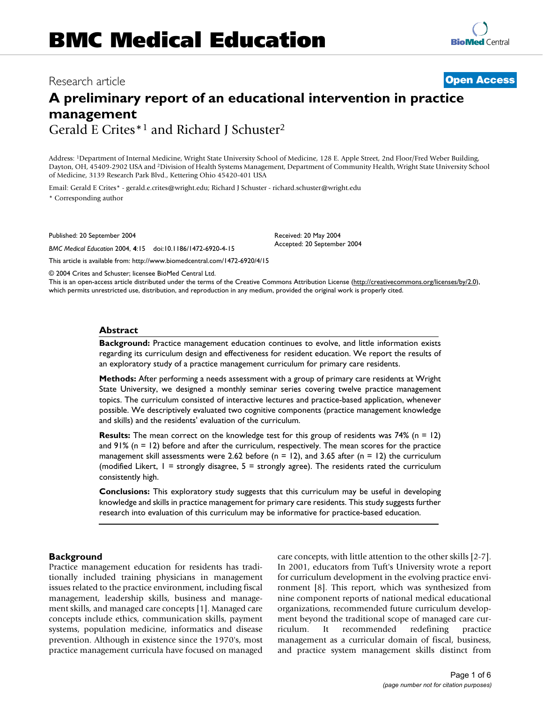# Research article **[Open Access](http://www.biomedcentral.com/info/about/charter/)**

**[BioMed](http://www.biomedcentral.com/)** Central

# **A preliminary report of an educational intervention in practice management** Gerald E Crites\*1 and Richard J Schuster2

Address: 1Department of Internal Medicine, Wright State University School of Medicine, 128 E. Apple Street, 2nd Floor/Fred Weber Building, Dayton, OH, 45409-2902 USA and 2Division of Health Systems Management, Department of Community Health, Wright State University School of Medicine, 3139 Research Park Blvd., Kettering Ohio 45420-401 USA

Email: Gerald E Crites\* - gerald.e.crites@wright.edu; Richard J Schuster - richard.schuster@wright.edu

\* Corresponding author

Published: 20 September 2004

*BMC Medical Education* 2004, **4**:15 doi:10.1186/1472-6920-4-15

Received: 20 May 2004 Accepted: 20 September 2004

[This article is available from: http://www.biomedcentral.com/1472-6920/4/15](http://www.biomedcentral.com/1472-6920/4/15)

© 2004 Crites and Schuster; licensee BioMed Central Ltd.

This is an open-access article distributed under the terms of the Creative Commons Attribution License (<http://creativecommons.org/licenses/by/2.0>), which permits unrestricted use, distribution, and reproduction in any medium, provided the original work is properly cited.

#### **Abstract**

**Background:** Practice management education continues to evolve, and little information exists regarding its curriculum design and effectiveness for resident education. We report the results of an exploratory study of a practice management curriculum for primary care residents.

**Methods:** After performing a needs assessment with a group of primary care residents at Wright State University, we designed a monthly seminar series covering twelve practice management topics. The curriculum consisted of interactive lectures and practice-based application, whenever possible. We descriptively evaluated two cognitive components (practice management knowledge and skills) and the residents' evaluation of the curriculum.

**Results:** The mean correct on the knowledge test for this group of residents was 74% (n = 12) and  $91\%$  (n = 12) before and after the curriculum, respectively. The mean scores for the practice management skill assessments were 2.62 before ( $n = 12$ ), and 3.65 after ( $n = 12$ ) the curriculum (modified Likert,  $1 =$  strongly disagree,  $5 =$  strongly agree). The residents rated the curriculum consistently high.

**Conclusions:** This exploratory study suggests that this curriculum may be useful in developing knowledge and skills in practice management for primary care residents. This study suggests further research into evaluation of this curriculum may be informative for practice-based education.

#### **Background**

Practice management education for residents has traditionally included training physicians in management issues related to the practice environment, including fiscal management, leadership skills, business and management skills, and managed care concepts [1]. Managed care concepts include ethics, communication skills, payment systems, population medicine, informatics and disease prevention. Although in existence since the 1970's, most practice management curricula have focused on managed care concepts, with little attention to the other skills [2-7]. In 2001, educators from Tuft's University wrote a report for curriculum development in the evolving practice environment [8]. This report, which was synthesized from nine component reports of national medical educational organizations, recommended future curriculum development beyond the traditional scope of managed care curriculum. It recommended redefining practice management as a curricular domain of fiscal, business, and practice system management skills distinct from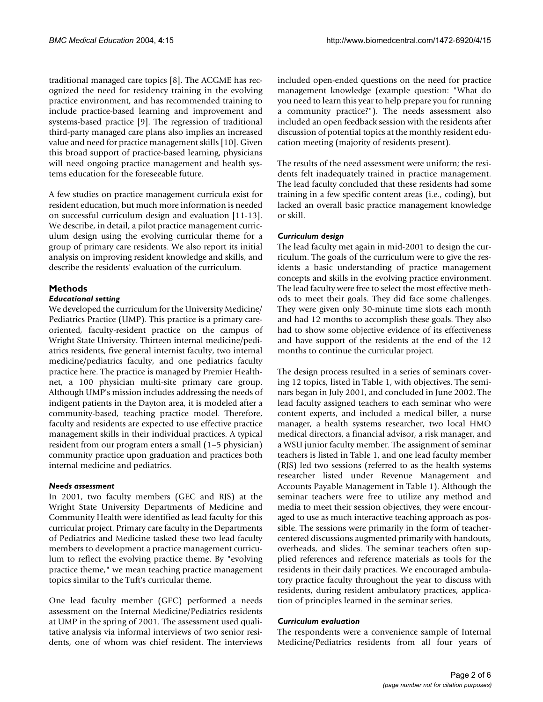traditional managed care topics [8]. The ACGME has recognized the need for residency training in the evolving practice environment, and has recommended training to include practice-based learning and improvement and systems-based practice [9]. The regression of traditional third-party managed care plans also implies an increased value and need for practice management skills [10]. Given this broad support of practice-based learning, physicians will need ongoing practice management and health systems education for the foreseeable future.

A few studies on practice management curricula exist for resident education, but much more information is needed on successful curriculum design and evaluation [11-13]. We describe, in detail, a pilot practice management curriculum design using the evolving curricular theme for a group of primary care residents. We also report its initial analysis on improving resident knowledge and skills, and describe the residents' evaluation of the curriculum.

# **Methods**

## *Educational setting*

We developed the curriculum for the University Medicine/ Pediatrics Practice (UMP). This practice is a primary careoriented, faculty-resident practice on the campus of Wright State University. Thirteen internal medicine/pediatrics residents, five general internist faculty, two internal medicine/pediatrics faculty, and one pediatrics faculty practice here. The practice is managed by Premier Healthnet, a 100 physician multi-site primary care group. Although UMP's mission includes addressing the needs of indigent patients in the Dayton area, it is modeled after a community-based, teaching practice model. Therefore, faculty and residents are expected to use effective practice management skills in their individual practices. A typical resident from our program enters a small (1–5 physician) community practice upon graduation and practices both internal medicine and pediatrics.

## *Needs assessment*

In 2001, two faculty members (GEC and RJS) at the Wright State University Departments of Medicine and Community Health were identified as lead faculty for this curricular project. Primary care faculty in the Departments of Pediatrics and Medicine tasked these two lead faculty members to development a practice management curriculum to reflect the evolving practice theme. By "evolving practice theme," we mean teaching practice management topics similar to the Tuft's curricular theme.

One lead faculty member (GEC) performed a needs assessment on the Internal Medicine/Pediatrics residents at UMP in the spring of 2001. The assessment used qualitative analysis via informal interviews of two senior residents, one of whom was chief resident. The interviews included open-ended questions on the need for practice management knowledge (example question: "What do you need to learn this year to help prepare you for running a community practice?"). The needs assessment also included an open feedback session with the residents after discussion of potential topics at the monthly resident education meeting (majority of residents present).

The results of the need assessment were uniform; the residents felt inadequately trained in practice management. The lead faculty concluded that these residents had some training in a few specific content areas (i.e., coding), but lacked an overall basic practice management knowledge or skill.

## *Curriculum design*

The lead faculty met again in mid-2001 to design the curriculum. The goals of the curriculum were to give the residents a basic understanding of practice management concepts and skills in the evolving practice environment. The lead faculty were free to select the most effective methods to meet their goals. They did face some challenges. They were given only 30-minute time slots each month and had 12 months to accomplish these goals. They also had to show some objective evidence of its effectiveness and have support of the residents at the end of the 12 months to continue the curricular project.

The design process resulted in a series of seminars covering 12 topics, listed in Table [1,](#page-2-0) with objectives. The seminars began in July 2001, and concluded in June 2002. The lead faculty assigned teachers to each seminar who were content experts, and included a medical biller, a nurse manager, a health systems researcher, two local HMO medical directors, a financial advisor, a risk manager, and a WSU junior faculty member. The assignment of seminar teachers is listed in Table [1,](#page-2-0) and one lead faculty member (RJS) led two sessions (referred to as the health systems researcher listed under Revenue Management and Accounts Payable Management in Table [1](#page-2-0)). Although the seminar teachers were free to utilize any method and media to meet their session objectives, they were encouraged to use as much interactive teaching approach as possible. The sessions were primarily in the form of teachercentered discussions augmented primarily with handouts, overheads, and slides. The seminar teachers often supplied references and reference materials as tools for the residents in their daily practices. We encouraged ambulatory practice faculty throughout the year to discuss with residents, during resident ambulatory practices, application of principles learned in the seminar series.

## *Curriculum evaluation*

The respondents were a convenience sample of Internal Medicine/Pediatrics residents from all four years of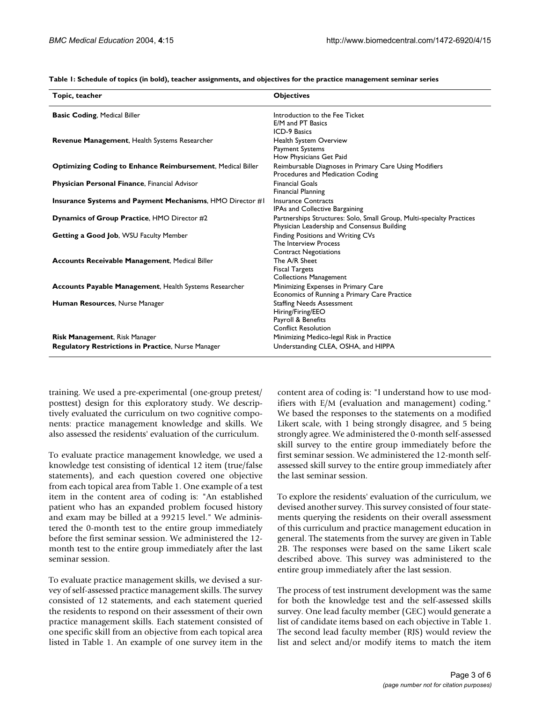<span id="page-2-0"></span>**Table 1: Schedule of topics (in bold), teacher assignments, and objectives for the practice management seminar series**

| Topic, teacher                                                    | <b>Objectives</b>                                                                                                    |
|-------------------------------------------------------------------|----------------------------------------------------------------------------------------------------------------------|
| <b>Basic Coding, Medical Biller</b>                               | Introduction to the Fee Ticket<br>E/M and PT Basics<br>ICD-9 Basics                                                  |
| Revenue Management, Health Systems Researcher                     | Health System Overview<br><b>Payment Systems</b><br>How Physicians Get Paid                                          |
| <b>Optimizing Coding to Enhance Reimbursement, Medical Biller</b> | Reimbursable Diagnoses in Primary Care Using Modifiers<br>Procedures and Medication Coding                           |
| Physician Personal Finance, Financial Advisor                     | <b>Financial Goals</b><br><b>Financial Planning</b>                                                                  |
| <b>Insurance Systems and Payment Mechanisms, HMO Director #1</b>  | <b>Insurance Contracts</b><br>IPAs and Collective Bargaining                                                         |
| <b>Dynamics of Group Practice, HMO Director #2</b>                | Partnerships Structures: Solo, Small Group, Multi-specialty Practices<br>Physician Leadership and Consensus Building |
| Getting a Good Job, WSU Faculty Member                            | Finding Positions and Writing CVs<br>The Interview Process<br><b>Contract Negotiations</b>                           |
| <b>Accounts Receivable Management, Medical Biller</b>             | The A/R Sheet<br><b>Fiscal Targets</b><br><b>Collections Management</b>                                              |
| <b>Accounts Payable Management, Health Systems Researcher</b>     | Minimizing Expenses in Primary Care<br>Economics of Running a Primary Care Practice                                  |
| Human Resources, Nurse Manager                                    | <b>Staffing Needs Assessment</b><br>Hiring/Firing/EEO<br>Payroll & Benefits<br><b>Conflict Resolution</b>            |
| Risk Management, Risk Manager                                     | Minimizing Medico-legal Risk in Practice                                                                             |
| <b>Regulatory Restrictions in Practice, Nurse Manager</b>         | Understanding CLEA, OSHA, and HIPPA                                                                                  |

training. We used a pre-experimental (one-group pretest/ posttest) design for this exploratory study. We descriptively evaluated the curriculum on two cognitive components: practice management knowledge and skills. We also assessed the residents' evaluation of the curriculum.

To evaluate practice management knowledge, we used a knowledge test consisting of identical 12 item (true/false statements), and each question covered one objective from each topical area from Table [1](#page-2-0). One example of a test item in the content area of coding is: "An established patient who has an expanded problem focused history and exam may be billed at a 99215 level." We administered the 0-month test to the entire group immediately before the first seminar session. We administered the 12 month test to the entire group immediately after the last seminar session.

To evaluate practice management skills, we devised a survey of self-assessed practice management skills. The survey consisted of 12 statements, and each statement queried the residents to respond on their assessment of their own practice management skills. Each statement consisted of one specific skill from an objective from each topical area listed in Table [1](#page-2-0). An example of one survey item in the content area of coding is: "I understand how to use modifiers with E/M (evaluation and management) coding." We based the responses to the statements on a modified Likert scale, with 1 being strongly disagree, and 5 being strongly agree. We administered the 0-month self-assessed skill survey to the entire group immediately before the first seminar session. We administered the 12-month selfassessed skill survey to the entire group immediately after the last seminar session.

To explore the residents' evaluation of the curriculum, we devised another survey. This survey consisted of four statements querying the residents on their overall assessment of this curriculum and practice management education in general. The statements from the survey are given in Table [2](#page-3-0)B. The responses were based on the same Likert scale described above. This survey was administered to the entire group immediately after the last session.

The process of test instrument development was the same for both the knowledge test and the self-assessed skills survey. One lead faculty member (GEC) would generate a list of candidate items based on each objective in Table [1.](#page-2-0) The second lead faculty member (RJS) would review the list and select and/or modify items to match the item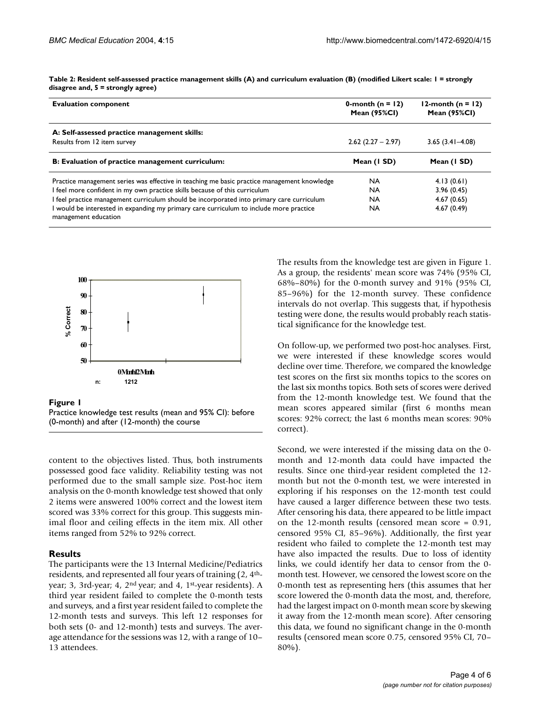<span id="page-3-0"></span>

| Table 2: Resident self-assessed practice management skills (A) and curriculum evaluation (B) (modified Likert scale: I = strongly |  |
|-----------------------------------------------------------------------------------------------------------------------------------|--|
| disagree and, 5 = strongly agree)                                                                                                 |  |

| <b>Evaluation component</b>                                                                                    | 0-month ( $n = 12$ )<br>Mean $(95\%CI)$ | $12$ -month (n = 12)<br>Mean $(95\%CI)$ |
|----------------------------------------------------------------------------------------------------------------|-----------------------------------------|-----------------------------------------|
| A: Self-assessed practice management skills:                                                                   |                                         |                                         |
| Results from 12 item survey                                                                                    | $2.62$ (2.27 - 2.97)                    | $3.65(3.41 - 4.08)$                     |
| B: Evaluation of practice management curriculum:                                                               | Mean (1 SD)                             | Mean (1 SD)                             |
| Practice management series was effective in teaching me basic practice management knowledge                    | <b>NA</b>                               | 4.13(0.61)                              |
| I feel more confident in my own practice skills because of this curriculum                                     | <b>NA</b>                               | 3.96(0.45)                              |
| I feel practice management curriculum should be incorporated into primary care curriculum                      | <b>NA</b>                               | 4.67(0.65)                              |
| I would be interested in expanding my primary care curriculum to include more practice<br>management education | <b>NA</b>                               | 4.67(0.49)                              |



**Figure 1** 

Practice knowledge test results (mean and 95% CI): before (0-month) and after (12-month) the course

content to the objectives listed. Thus, both instruments possessed good face validity. Reliability testing was not performed due to the small sample size. Post-hoc item analysis on the 0-month knowledge test showed that only 2 items were answered 100% correct and the lowest item scored was 33% correct for this group. This suggests minimal floor and ceiling effects in the item mix. All other items ranged from 52% to 92% correct.

#### **Results**

The participants were the 13 Internal Medicine/Pediatrics residents, and represented all four years of training (2, 4thyear; 3, 3rd-year; 4, 2<sup>nd</sup> year; and 4, 1<sup>st</sup>-year residents). A third year resident failed to complete the 0-month tests and surveys, and a first year resident failed to complete the 12-month tests and surveys. This left 12 responses for both sets (0- and 12-month) tests and surveys. The average attendance for the sessions was 12, with a range of 10– 13 attendees.

The results from the knowledge test are given in Figure 1. As a group, the residents' mean score was 74% (95% CI, 68%–80%) for the 0-month survey and 91% (95% CI, 85–96%) for the 12-month survey. These confidence intervals do not overlap. This suggests that, if hypothesis testing were done, the results would probably reach statistical significance for the knowledge test.

On follow-up, we performed two post-hoc analyses. First, we were interested if these knowledge scores would decline over time. Therefore, we compared the knowledge test scores on the first six months topics to the scores on the last six months topics. Both sets of scores were derived from the 12-month knowledge test. We found that the mean scores appeared similar (first 6 months mean scores: 92% correct; the last 6 months mean scores: 90% correct).

Second, we were interested if the missing data on the 0 month and 12-month data could have impacted the results. Since one third-year resident completed the 12 month but not the 0-month test, we were interested in exploring if his responses on the 12-month test could have caused a larger difference between these two tests. After censoring his data, there appeared to be little impact on the 12-month results (censored mean score = 0.91, censored 95% CI, 85–96%). Additionally, the first year resident who failed to complete the 12-month test may have also impacted the results. Due to loss of identity links, we could identify her data to censor from the 0 month test. However, we censored the lowest score on the 0-month test as representing hers (this assumes that her score lowered the 0-month data the most, and, therefore, had the largest impact on 0-month mean score by skewing it away from the 12-month mean score). After censoring this data, we found no significant change in the 0-month results (censored mean score 0.75, censored 95% CI, 70– 80%).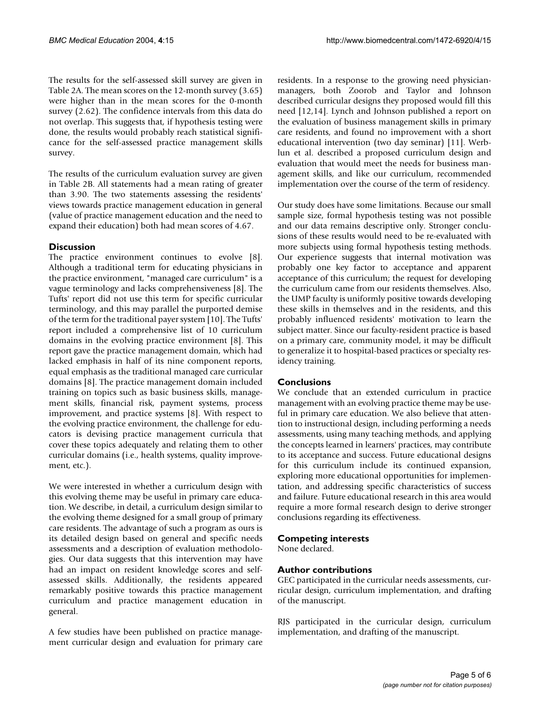The results for the self-assessed skill survey are given in Table [2](#page-3-0)A. The mean scores on the 12-month survey (3.65) were higher than in the mean scores for the 0-month survey (2.62). The confidence intervals from this data do not overlap. This suggests that, if hypothesis testing were done, the results would probably reach statistical significance for the self-assessed practice management skills survey.

The results of the curriculum evaluation survey are given in Table [2B](#page-3-0). All statements had a mean rating of greater than 3.90. The two statements assessing the residents' views towards practice management education in general (value of practice management education and the need to expand their education) both had mean scores of 4.67.

# **Discussion**

The practice environment continues to evolve [8]. Although a traditional term for educating physicians in the practice environment, "managed care curriculum" is a vague terminology and lacks comprehensiveness [8]. The Tufts' report did not use this term for specific curricular terminology, and this may parallel the purported demise of the term for the traditional payer system [10]. The Tufts' report included a comprehensive list of 10 curriculum domains in the evolving practice environment [8]. This report gave the practice management domain, which had lacked emphasis in half of its nine component reports, equal emphasis as the traditional managed care curricular domains [8]. The practice management domain included training on topics such as basic business skills, management skills, financial risk, payment systems, process improvement, and practice systems [8]. With respect to the evolving practice environment, the challenge for educators is devising practice management curricula that cover these topics adequately and relating them to other curricular domains (i.e., health systems, quality improvement, etc.).

We were interested in whether a curriculum design with this evolving theme may be useful in primary care education. We describe, in detail, a curriculum design similar to the evolving theme designed for a small group of primary care residents. The advantage of such a program as ours is its detailed design based on general and specific needs assessments and a description of evaluation methodologies. Our data suggests that this intervention may have had an impact on resident knowledge scores and selfassessed skills. Additionally, the residents appeared remarkably positive towards this practice management curriculum and practice management education in general.

A few studies have been published on practice management curricular design and evaluation for primary care residents. In a response to the growing need physicianmanagers, both Zoorob and Taylor and Johnson described curricular designs they proposed would fill this need [12,14]. Lynch and Johnson published a report on the evaluation of business management skills in primary care residents, and found no improvement with a short educational intervention (two day seminar) [11]. Werblun et al. described a proposed curriculum design and evaluation that would meet the needs for business management skills, and like our curriculum, recommended implementation over the course of the term of residency.

Our study does have some limitations. Because our small sample size, formal hypothesis testing was not possible and our data remains descriptive only. Stronger conclusions of these results would need to be re-evaluated with more subjects using formal hypothesis testing methods. Our experience suggests that internal motivation was probably one key factor to acceptance and apparent acceptance of this curriculum; the request for developing the curriculum came from our residents themselves. Also, the UMP faculty is uniformly positive towards developing these skills in themselves and in the residents, and this probably influenced residents' motivation to learn the subject matter. Since our faculty-resident practice is based on a primary care, community model, it may be difficult to generalize it to hospital-based practices or specialty residency training.

# **Conclusions**

We conclude that an extended curriculum in practice management with an evolving practice theme may be useful in primary care education. We also believe that attention to instructional design, including performing a needs assessments, using many teaching methods, and applying the concepts learned in learners' practices, may contribute to its acceptance and success. Future educational designs for this curriculum include its continued expansion, exploring more educational opportunities for implementation, and addressing specific characteristics of success and failure. Future educational research in this area would require a more formal research design to derive stronger conclusions regarding its effectiveness.

# **Competing interests**

None declared.

# **Author contributions**

GEC participated in the curricular needs assessments, curricular design, curriculum implementation, and drafting of the manuscript.

RJS participated in the curricular design, curriculum implementation, and drafting of the manuscript.